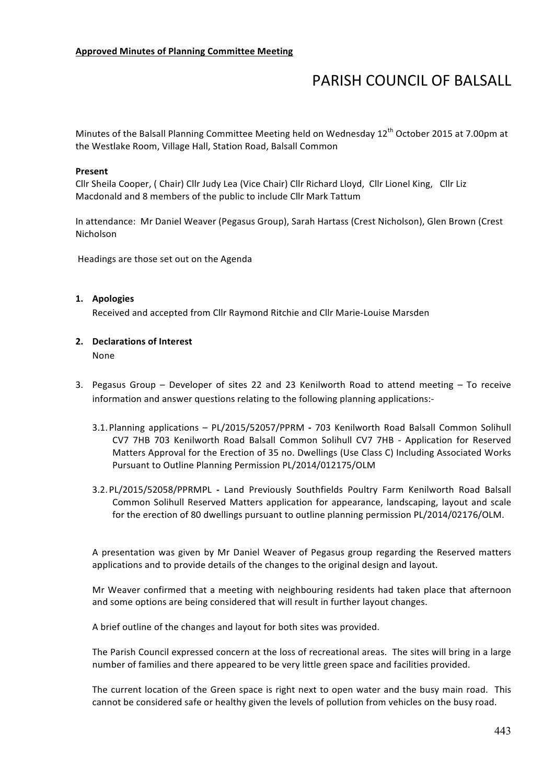# **PARISH COUNCIL OF BALSALL**

Minutes of the Balsall Planning Committee Meeting held on Wednesday 12<sup>th</sup> October 2015 at 7.00pm at the Westlake Room, Village Hall, Station Road, Balsall Common

#### **Present**

Cllr Sheila Cooper, ( Chair) Cllr Judy Lea (Vice Chair) Cllr Richard Lloyd, Cllr Lionel King, Cllr Liz Macdonald and 8 members of the public to include Cllr Mark Tattum

In attendance: Mr Daniel Weaver (Pegasus Group), Sarah Hartass (Crest Nicholson), Glen Brown (Crest Nicholson

Headings are those set out on the Agenda

#### **1. Apologies**

Received and accepted from Cllr Raymond Ritchie and Cllr Marie-Louise Marsden

## **2. Declarations of Interest**

None

- 3. Pegasus Group Developer of sites 22 and 23 Kenilworth Road to attend meeting To receive information and answer questions relating to the following planning applications:-
	- 3.1. Planning applications PL/2015/52057/PPRM 703 Kenilworth Road Balsall Common Solihull CV7 7HB 703 Kenilworth Road Balsall Common Solihull CV7 7HB - Application for Reserved Matters Approval for the Erection of 35 no. Dwellings (Use Class C) Including Associated Works Pursuant to Outline Planning Permission PL/2014/012175/OLM
	- 3.2.PL/2015/52058/PPRMPL **-** Land Previously Southfields Poultry Farm Kenilworth Road Balsall Common Solihull Reserved Matters application for appearance, landscaping, layout and scale for the erection of 80 dwellings pursuant to outline planning permission PL/2014/02176/OLM.

A presentation was given by Mr Daniel Weaver of Pegasus group regarding the Reserved matters applications and to provide details of the changes to the original design and layout.

Mr Weaver confirmed that a meeting with neighbouring residents had taken place that afternoon and some options are being considered that will result in further layout changes.

A brief outline of the changes and layout for both sites was provided.

The Parish Council expressed concern at the loss of recreational areas. The sites will bring in a large number of families and there appeared to be very little green space and facilities provided.

The current location of the Green space is right next to open water and the busy main road. This cannot be considered safe or healthy given the levels of pollution from vehicles on the busy road.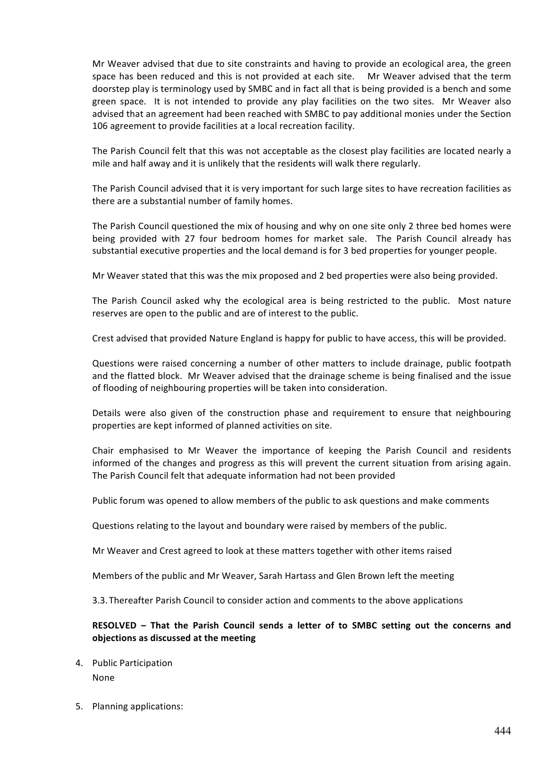Mr Weaver advised that due to site constraints and having to provide an ecological area, the green space has been reduced and this is not provided at each site. Mr Weaver advised that the term doorstep play is terminology used by SMBC and in fact all that is being provided is a bench and some green space. It is not intended to provide any play facilities on the two sites. Mr Weaver also advised that an agreement had been reached with SMBC to pay additional monies under the Section 106 agreement to provide facilities at a local recreation facility.

The Parish Council felt that this was not acceptable as the closest play facilities are located nearly a mile and half away and it is unlikely that the residents will walk there regularly.

The Parish Council advised that it is very important for such large sites to have recreation facilities as there are a substantial number of family homes.

The Parish Council questioned the mix of housing and why on one site only 2 three bed homes were being provided with 27 four bedroom homes for market sale. The Parish Council already has substantial executive properties and the local demand is for 3 bed properties for younger people.

Mr Weaver stated that this was the mix proposed and 2 bed properties were also being provided.

The Parish Council asked why the ecological area is being restricted to the public. Most nature reserves are open to the public and are of interest to the public.

Crest advised that provided Nature England is happy for public to have access, this will be provided.

Questions were raised concerning a number of other matters to include drainage, public footpath and the flatted block. Mr Weaver advised that the drainage scheme is being finalised and the issue of flooding of neighbouring properties will be taken into consideration.

Details were also given of the construction phase and requirement to ensure that neighbouring properties are kept informed of planned activities on site.

Chair emphasised to Mr Weaver the importance of keeping the Parish Council and residents informed of the changes and progress as this will prevent the current situation from arising again. The Parish Council felt that adequate information had not been provided

Public forum was opened to allow members of the public to ask questions and make comments

Questions relating to the layout and boundary were raised by members of the public.

Mr Weaver and Crest agreed to look at these matters together with other items raised

Members of the public and Mr Weaver, Sarah Hartass and Glen Brown left the meeting

3.3. Thereafter Parish Council to consider action and comments to the above applications

### **RESOLVED** – That the Parish Council sends a letter of to SMBC setting out the concerns and **objections as discussed at the meeting**

- 4. Public Participation None
- 5. Planning applications: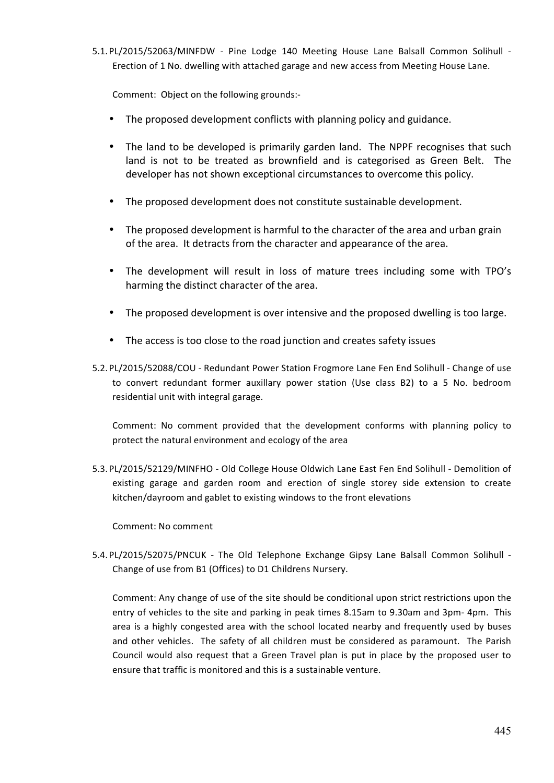5.1. PL/2015/52063/MINFDW - Pine Lodge 140 Meeting House Lane Balsall Common Solihull -Erection of 1 No. dwelling with attached garage and new access from Meeting House Lane.

Comment: Object on the following grounds:-

- The proposed development conflicts with planning policy and guidance.
- The land to be developed is primarily garden land. The NPPF recognises that such land is not to be treated as brownfield and is categorised as Green Belt. The developer has not shown exceptional circumstances to overcome this policy.
- The proposed development does not constitute sustainable development.
- The proposed development is harmful to the character of the area and urban grain of the area. It detracts from the character and appearance of the area.
- The development will result in loss of mature trees including some with TPO's harming the distinct character of the area.
- The proposed development is over intensive and the proposed dwelling is too large.
- The access is too close to the road junction and creates safety issues
- 5.2. PL/2015/52088/COU Redundant Power Station Frogmore Lane Fen End Solihull Change of use to convert redundant former auxillary power station (Use class B2) to a 5 No. bedroom residential unit with integral garage.

Comment: No comment provided that the development conforms with planning policy to protect the natural environment and ecology of the area

5.3. PL/2015/52129/MINFHO - Old College House Oldwich Lane East Fen End Solihull - Demolition of existing garage and garden room and erection of single storey side extension to create kitchen/dayroom and gablet to existing windows to the front elevations

Comment: No comment

5.4. PL/2015/52075/PNCUK - The Old Telephone Exchange Gipsy Lane Balsall Common Solihull -Change of use from B1 (Offices) to D1 Childrens Nursery.

Comment: Any change of use of the site should be conditional upon strict restrictions upon the entry of vehicles to the site and parking in peak times 8.15am to 9.30am and 3pm- 4pm. This area is a highly congested area with the school located nearby and frequently used by buses and other vehicles. The safety of all children must be considered as paramount. The Parish Council would also request that a Green Travel plan is put in place by the proposed user to ensure that traffic is monitored and this is a sustainable venture.